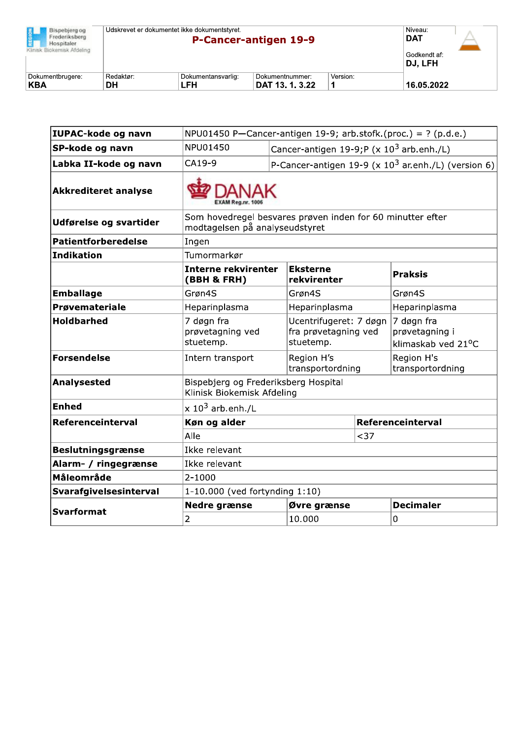| Bispebierg og<br>Frederiksberg<br>Hospitaler.<br>Klinisk Biokemisk Afdeling | Udskrevet er dokumentet ikke dokumentstyret. |                           | P-Cancer-antigen 19-9              |          | Niveau:<br><b>DAT</b><br>Godkendt af:<br>DJ, LFH |  |
|-----------------------------------------------------------------------------|----------------------------------------------|---------------------------|------------------------------------|----------|--------------------------------------------------|--|
| Dokumentbrugere:<br><b>KBA</b>                                              | Redaktør:<br>DΗ                              | Dokumentansvarlig:<br>LFH | Dokumentnummer:<br>DAT 13, 1, 3,22 | Version: | 16.05.2022                                       |  |

| <b>IUPAC-kode og navn</b>   | NPU01450 P-Cancer-antigen 19-9; arb.stofk.(proc.) = ? (p.d.e.)                               |                                                               |      |                                                                 |  |  |
|-----------------------------|----------------------------------------------------------------------------------------------|---------------------------------------------------------------|------|-----------------------------------------------------------------|--|--|
| SP-kode og navn             | NPU01450<br>Cancer-antigen 19-9;P (x 10 <sup>3</sup> arb.enh./L)                             |                                                               |      |                                                                 |  |  |
| Labka II-kode og navn       | CA19-9                                                                                       |                                                               |      | P-Cancer-antigen 19-9 (x $10^3$ ar.enh./L) (version 6)          |  |  |
| <b>Akkrediteret analyse</b> |                                                                                              |                                                               |      |                                                                 |  |  |
| Udførelse og svartider      | Som hovedregel besvares prøven inden for 60 minutter efter<br>modtagelsen på analyseudstyret |                                                               |      |                                                                 |  |  |
| <b>Patientforberedelse</b>  | Ingen                                                                                        |                                                               |      |                                                                 |  |  |
| Indikation                  | Tumormarkør                                                                                  |                                                               |      |                                                                 |  |  |
|                             | <b>Interne rekvirenter</b><br>(BBH & FRH)                                                    | <b>Eksterne</b><br>rekvirenter                                |      | <b>Praksis</b>                                                  |  |  |
| <b>Emballage</b>            | Grøn4S<br>Grøn4S                                                                             |                                                               |      | Grøn4S                                                          |  |  |
| <b>Prøvemateriale</b>       | Heparinplasma                                                                                | Heparinplasma                                                 |      | Heparinplasma                                                   |  |  |
| <b>Holdbarhed</b>           | 7 døgn fra<br>prøvetagning ved<br>stuetemp.                                                  | Ucentrifugeret: 7 døgn  <br>fra prøvetagning ved<br>stuetemp. |      | 7 døgn fra<br>prøvetagning i<br>klimaskab ved 21 <sup>o</sup> C |  |  |
| <b>Forsendelse</b>          | Region H's<br>Intern transport<br>transportordning                                           |                                                               |      | Region H's<br>transportordning                                  |  |  |
| Analysested                 | Bispebjerg og Frederiksberg Hospital<br>Klinisk Biokemisk Afdeling                           |                                                               |      |                                                                 |  |  |
| <b>Enhed</b>                | $\times$ 10 <sup>3</sup> arb.enh./L                                                          |                                                               |      |                                                                 |  |  |
| Referenceinterval           | Køn og alder                                                                                 |                                                               |      | Referenceinterval                                               |  |  |
|                             | Alle                                                                                         |                                                               | $37$ |                                                                 |  |  |
| <b>Beslutningsgrænse</b>    | Ikke relevant                                                                                |                                                               |      |                                                                 |  |  |
| Alarm- / ringegrænse        | Ikke relevant                                                                                |                                                               |      |                                                                 |  |  |
| Måleområde                  | $2 - 1000$                                                                                   |                                                               |      |                                                                 |  |  |
| Svarafgivelsesinterval      | 1-10.000 (ved fortynding 1:10)                                                               |                                                               |      |                                                                 |  |  |
| <b>Svarformat</b>           | <b>Nedre grænse</b>                                                                          | Øvre grænse                                                   |      | <b>Decimaler</b>                                                |  |  |
|                             | 2                                                                                            | 10.000                                                        |      | 0                                                               |  |  |